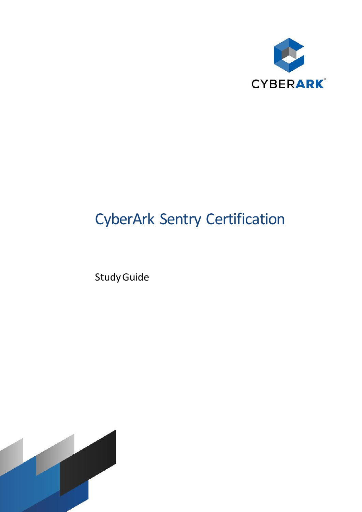

# CyberArk Sentry Certification

Study Guide

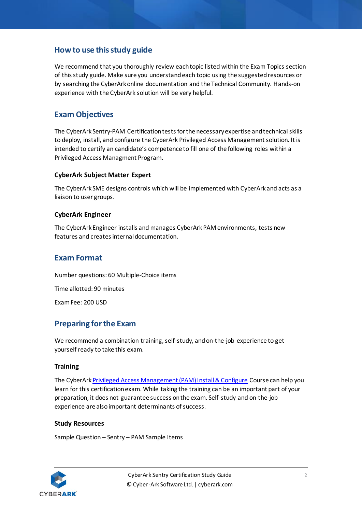# **How to use this study guide**

We recommend that you thoroughly review each topic listed within the Exam Topics section of this study guide. Make sure you understand each topic using the suggested resources or by searching the CyberArk online documentation and the Technical Community. Hands-on experience with the CyberArk solution will be very helpful.

# **Exam Objectives**

The CyberArk Sentry-PAM Certification tests for the necessary expertise and technical skills to deploy, install, and configure the CyberArk Privileged Access Management solution. It is intended to certify an candidate's competence to fill one of the following roles within a Privileged Access Managment Program.

#### **CyberArk Subject Matter Expert**

The CyberArk SME designs controls which will be implemented with CyberArk and acts as a liaison to user groups.

#### **CyberArk Engineer**

The CyberArk Engineer installs and manages CyberArk PAM environments, tests new features and creates internal documentation.

### **Exam Format**

Number questions: 60 Multiple-Choice items

Time allotted: 90 minutes

Exam Fee: 200 USD

## **Preparing for the Exam**

We recommend a combination training, self-study, and on-the-job experience to get yourself ready to take this exam.

#### **Training**

The CyberAr[k Privileged Access Management \(PAM\) Install & Configure](https://training.cyberark.com/instructor-led-training/cyberark-privileged-access-security-pas-install-and-configure) Course can help you learn for this certification exam. While taking the training can be an important part of your preparation, it does not guarantee success on the exam. Self-study and on-the-job experience are also important determinants of success.

#### **Study Resources**

Sample Question – Sentry – PAM Sample Items

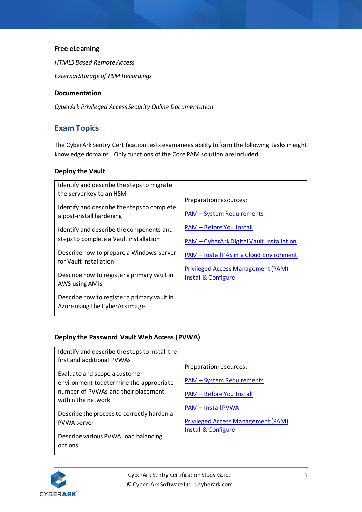#### **Free eLearning**

*HTML5 Based Remote Access*

*External Storage of PSM Recordings*

#### **Documentation**

*CyberArk Privileged Access Security Online Documentation*

# **Exam Topics**

The CyberArk Sentry Certification tests examanees ability to form the following tasks in eight knowledge domains. Only functions of the Core PAM solution are included.

#### **Deploy the Vault**

| Identify and describe the steps to migrate                                    |                                           |
|-------------------------------------------------------------------------------|-------------------------------------------|
| the server key to an HSM                                                      |                                           |
| Identify and describe the steps to complete                                   | Preparation resources:                    |
| a post-install hardening                                                      | <b>PAM - System Requirements</b>          |
| Identify and describe the components and                                      | <b>PAM - Before You Install</b>           |
| steps to complete a Vault installation                                        | PAM - CyberArk Digital Vault Installation |
| Describe how to prepare a Windows server<br>for Vault installation            | PAM - Install PAS in a Cloud Environment  |
|                                                                               | <b>Privileged Access Management (PAM)</b> |
| Describe how to register a primary vault in<br>AWS using AMIs                 | Install & Configure                       |
| Describe how to register a primary vault in<br>Azure using the CyberArk image |                                           |

#### **Deploy the Password Vault Web Access (PVWA)**

| Identify and describe the steps to install the                           |                                           |
|--------------------------------------------------------------------------|-------------------------------------------|
| first and additional PVWAs                                               |                                           |
|                                                                          | Preparation resources:                    |
| Evaluate and scope a customer<br>environment todetermine the appropriate | <b>PAM – System Requirements</b>          |
| number of PVWAs and their placement<br>within the network                | <b>PAM - Before You Install</b>           |
|                                                                          | <b>PAM - Install PVWA</b>                 |
| Describe the process to correctly harden a                               | <b>Privileged Access Management (PAM)</b> |
| <b>PVWA server</b>                                                       |                                           |
| Describe various PVWA load balancing<br>options                          | Install & Configure                       |
|                                                                          |                                           |

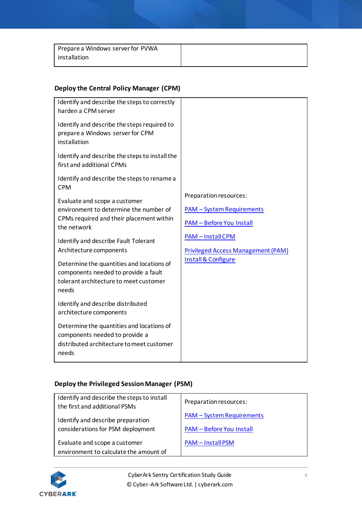| Prepare a Windows server for PVWA |  |
|-----------------------------------|--|
| installation                      |  |

# **Deploy the Central Policy Manager (CPM)**

| Identify and describe the steps to correctly<br>harden a CPM server                                                                                                        |                                                                                                                    |
|----------------------------------------------------------------------------------------------------------------------------------------------------------------------------|--------------------------------------------------------------------------------------------------------------------|
| Identify and describe the steps required to<br>prepare a Windows server for CPM<br>installation                                                                            |                                                                                                                    |
| Identify and describe the steps to install the<br>first and additional CPMs                                                                                                |                                                                                                                    |
| Identify and describe the steps to rename a<br><b>CPM</b>                                                                                                                  |                                                                                                                    |
| Evaluate and scope a customer<br>environment to determine the number of<br>CPMs required and their placement within<br>the network<br>Identify and describe Fault Tolerant | Preparation resources:<br><b>PAM - System Requirements</b><br><b>PAM - Before You Install</b><br>PAM - Install CPM |
| Architecture components                                                                                                                                                    | <b>Privileged Access Management (PAM)</b>                                                                          |
| Determine the quantities and locations of<br>components needed to provide a fault<br>tolerant architecture to meet customer<br>needs                                       | <b>Install &amp; Configure</b>                                                                                     |
| Identify and describe distributed<br>architecture components                                                                                                               |                                                                                                                    |
| Determine the quantities and locations of<br>components needed to provide a<br>distributed architecture to meet customer<br>needs                                          |                                                                                                                    |

# **Deploy the Privileged Session Manager (PSM)**

| Identify and describe the steps to install<br>the first and additional PSMs | Preparation resources:           |
|-----------------------------------------------------------------------------|----------------------------------|
| Identify and describe preparation                                           | <b>PAM - System Requirements</b> |
| considerations for PSM deployment                                           | <b>PAM - Before You Install</b>  |
| Evaluate and scope a customer                                               | <b>PAM - Install PSM</b>         |
| environment to calculate the amount of                                      |                                  |

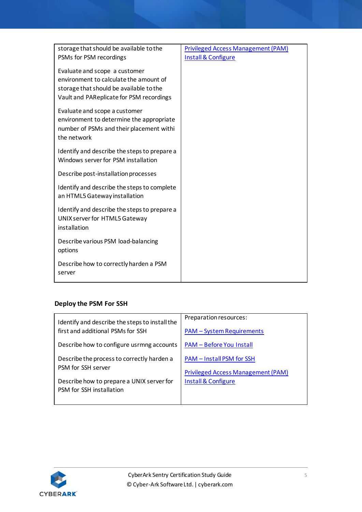| storage that should be available to the                                                                                                                        | <b>Privileged Access Management (PAM)</b> |
|----------------------------------------------------------------------------------------------------------------------------------------------------------------|-------------------------------------------|
| PSMs for PSM recordings                                                                                                                                        | Install & Configure                       |
| Evaluate and scope a customer<br>environment to calculate the amount of<br>storage that should be available to the<br>Vault and PAReplicate for PSM recordings |                                           |
| Evaluate and scope a customer<br>environment to determine the appropriate<br>number of PSMs and their placement withi<br>the network                           |                                           |
| Identify and describe the steps to prepare a<br>Windows server for PSM installation                                                                            |                                           |
| Describe post-installation processes                                                                                                                           |                                           |
| Identify and describe the steps to complete<br>an HTML5 Gateway installation                                                                                   |                                           |
| Identify and describe the steps to prepare a<br>UNIX server for HTML5 Gateway<br>installation                                                                  |                                           |
| Describe various PSM load-balancing<br>options                                                                                                                 |                                           |
| Describe how to correctly harden a PSM<br>server                                                                                                               |                                           |

# **Deploy the PSM For SSH**

| Identify and describe the steps to install the | Preparation resources:                    |
|------------------------------------------------|-------------------------------------------|
| first and additional PSMs for SSH              | <b>PAM - System Requirements</b>          |
| Describe how to configure usrmng accounts      | <b>PAM - Before You Install</b>           |
| Describe the process to correctly harden a     | PAM - Install PSM for SSH                 |
| PSM for SSH server                             | <b>Privileged Access Management (PAM)</b> |
| Describe how to prepare a UNIX server for      | Install & Configure                       |
| PSM for SSH installation                       |                                           |
|                                                |                                           |

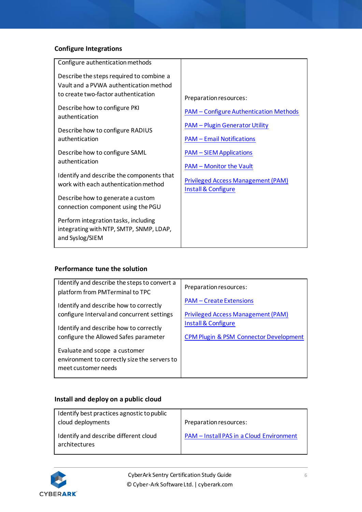# **Configure Integrations**

| Configure authentication methods                                                                                          |                                                                  |
|---------------------------------------------------------------------------------------------------------------------------|------------------------------------------------------------------|
| Describe the steps required to combine a<br>Vault and a PVWA authentication method<br>to create two-factor authentication | Preparation resources:                                           |
| Describe how to configure PKI<br>authentication                                                                           | <b>PAM - Configure Authentication Methods</b>                    |
| Describe how to configure RADIUS                                                                                          | <b>PAM - Plugin Generator Utility</b>                            |
| authentication                                                                                                            | <b>PAM - Email Notifications</b>                                 |
| Describe how to configure SAML                                                                                            | <b>PAM - SIEM Applications</b>                                   |
| authentication                                                                                                            | <b>PAM - Monitor the Vault</b>                                   |
| Identify and describe the components that<br>work with each authentication method                                         | <b>Privileged Access Management (PAM)</b><br>Install & Configure |
| Describe how to generate a custom<br>connection component using the PGU                                                   |                                                                  |
| Perform integration tasks, including<br>integrating with NTP, SMTP, SNMP, LDAP,<br>and Syslog/SIEM                        |                                                                  |

#### **Performance tune the solution**

| Identify and describe the steps to convert a<br>platform from PMTerminal to TPC                      | Preparation resources:                            |
|------------------------------------------------------------------------------------------------------|---------------------------------------------------|
| Identify and describe how to correctly                                                               | <b>PAM – Create Extensions</b>                    |
| configure Interval and concurrent settings                                                           | <b>Privileged Access Management (PAM)</b>         |
| Identify and describe how to correctly                                                               | Install & Configure                               |
| configure the Allowed Safes parameter                                                                | <b>CPM Plugin &amp; PSM Connector Development</b> |
| Evaluate and scope a customer<br>environment to correctly size the servers to<br>meet customer needs |                                                   |

# **Install and deploy on a public cloud**

| Identify best practices agnostic to public<br>cloud deployments | Preparation resources:                   |
|-----------------------------------------------------------------|------------------------------------------|
| Identify and describe different cloud<br>architectures          | PAM - Install PAS in a Cloud Environment |